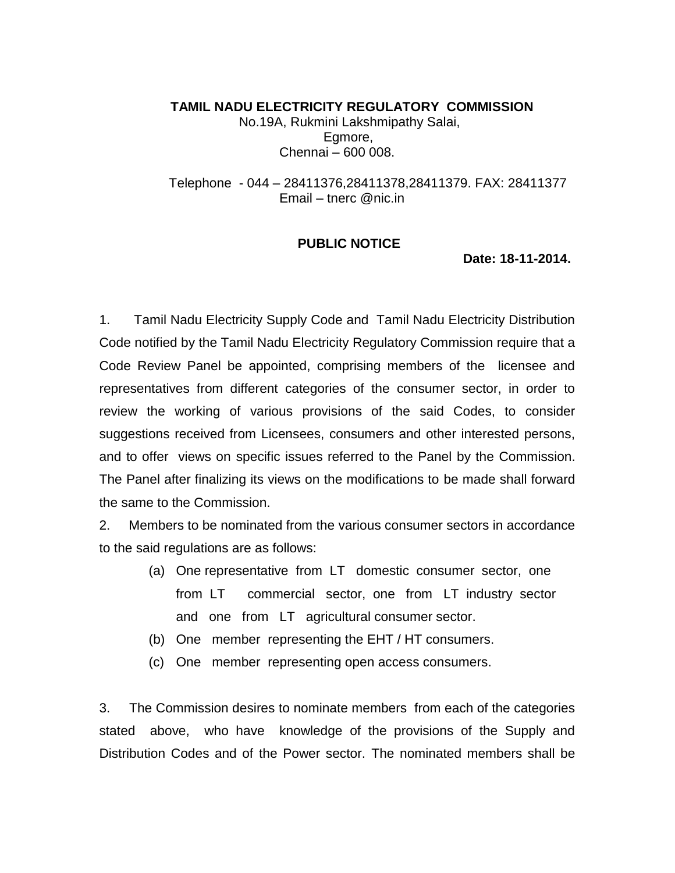**TAMIL NADU ELECTRICITY REGULATORY COMMISSION**  No.19A, Rukmini Lakshmipathy Salai, Egmore, Chennai – 600 008.

 Telephone - 044 – 28411376,28411378,28411379. FAX: 28411377 Email – tnerc @nic.in

## **PUBLIC NOTICE**

**Date: 18-11-2014.**

1. Tamil Nadu Electricity Supply Code and Tamil Nadu Electricity Distribution Code notified by the Tamil Nadu Electricity Regulatory Commission require that a Code Review Panel be appointed, comprising members of the licensee and representatives from different categories of the consumer sector, in order to review the working of various provisions of the said Codes, to consider suggestions received from Licensees, consumers and other interested persons, and to offer views on specific issues referred to the Panel by the Commission. The Panel after finalizing its views on the modifications to be made shall forward the same to the Commission.

2. Members to be nominated from the various consumer sectors in accordance to the said regulations are as follows:

- (a) One representative from LT domestic consumer sector, one from LT commercial sector, one from LT industry sector and one from LT agricultural consumer sector.
- (b) One member representing the EHT / HT consumers.
- (c) One member representing open access consumers.

3. The Commission desires to nominate members from each of the categories stated above, who have knowledge of the provisions of the Supply and Distribution Codes and of the Power sector. The nominated members shall be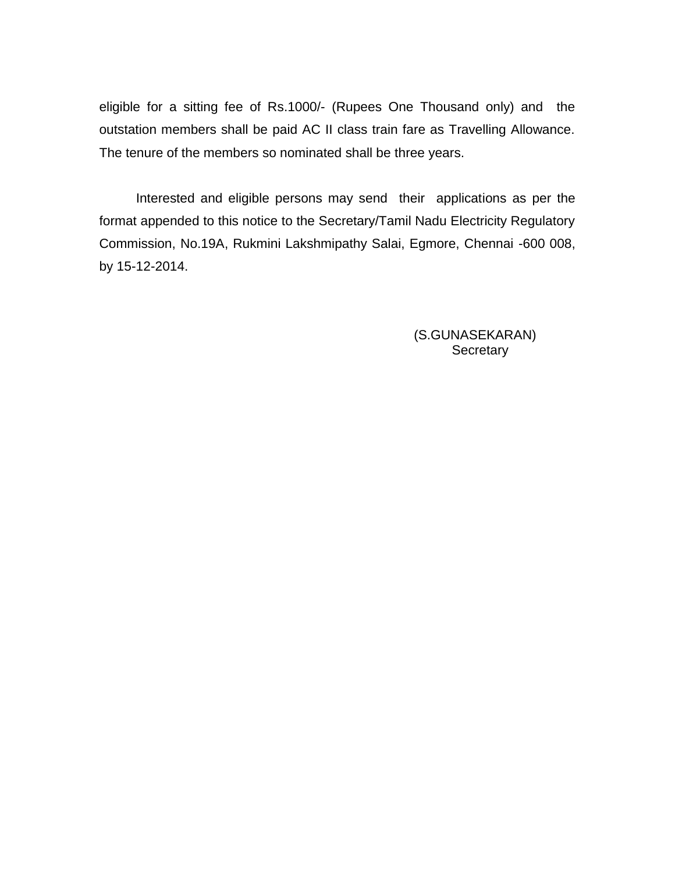eligible for a sitting fee of Rs.1000/- (Rupees One Thousand only) and the outstation members shall be paid AC II class train fare as Travelling Allowance. The tenure of the members so nominated shall be three years.

 Interested and eligible persons may send their applications as per the format appended to this notice to the Secretary/Tamil Nadu Electricity Regulatory Commission, No.19A, Rukmini Lakshmipathy Salai, Egmore, Chennai -600 008, by 15-12-2014.

> (S.GUNASEKARAN) **Secretary**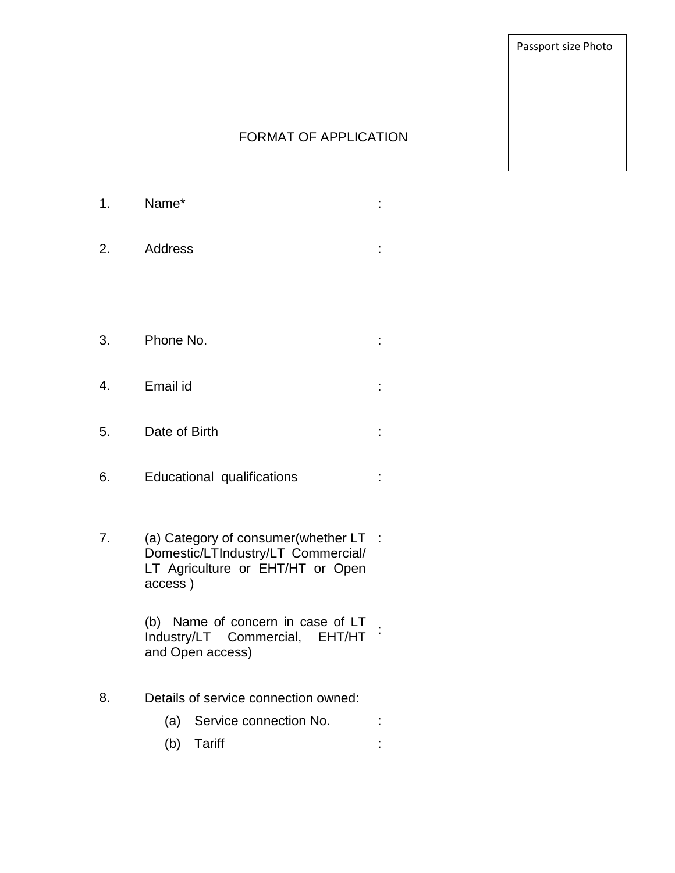Passport size Photo

## FORMAT OF APPLICATION

:

:

:

- 1. Name\* :
- 2. Address :
- 3. Phone No. :
- 4. Email id :
- 5. Date of Birth
- 6. Educational qualifications
- 7. (a) Category of consumer(whether LT : Domestic/LTIndustry/LT Commercial/ LT Agriculture or EHT/HT or Open access )

(b) Name of concern in case of LT Industry/LT Commercial, EHT/HT and Open access) :

- 8. Details of service connection owned:
	- (a) Service connection No.
	- (b) Tariff :